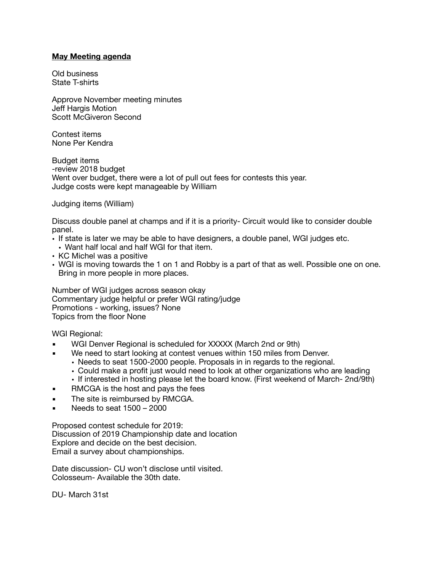#### **May Meeting agenda**

Old business State T-shirts

Approve November meeting minutes Jeff Hargis Motion Scott McGiveron Second

Contest items None Per Kendra

Budget items -review 2018 budget Went over budget, there were a lot of pull out fees for contests this year. Judge costs were kept manageable by William

Judging items (William)

Discuss double panel at champs and if it is a priority- Circuit would like to consider double panel.

- If state is later we may be able to have designers, a double panel, WGI judges etc. • Want half local and half WGI for that item.
- KC Michel was a positive
- WGI is moving towards the 1 on 1 and Robby is a part of that as well. Possible one on one. Bring in more people in more places.

Number of WGI judges across season okay Commentary judge helpful or prefer WGI rating/judge Promotions - working, issues? None Topics from the floor None

WGI Regional:

- WGI Denver Regional is scheduled for XXXXX (March 2nd or 9th)
	- We need to start looking at contest venues within 150 miles from Denver.
		- Needs to seat 1500-2000 people. Proposals in in regards to the regional.
		- Could make a profit just would need to look at other organizations who are leading
		- If interested in hosting please let the board know. (First weekend of March- 2nd/9th)
- RMCGA is the host and pays the fees
- **The site is reimbursed by RMCGA.**
- Needs to seat  $1500 2000$

Proposed contest schedule for 2019: Discussion of 2019 Championship date and location Explore and decide on the best decision. Email a survey about championships.

Date discussion- CU won't disclose until visited. Colosseum- Available the 30th date.

DU- March 31st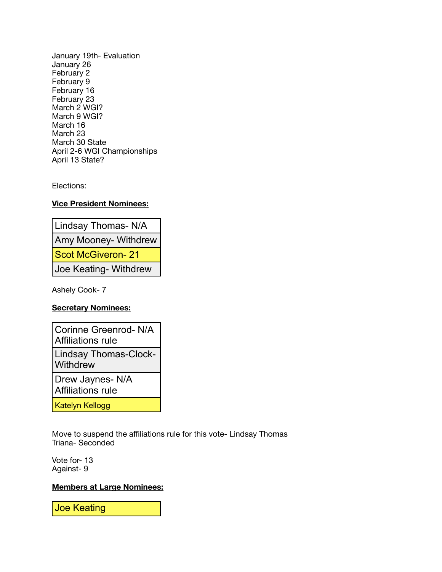January 19th- Evaluation January 26 February 2 February 9 February 16 February 23 March 2 WGI? March 9 WGI? March 16 March 23 March 30 State April 2-6 WGI Championships April 13 State?

Elections:

# **Vice President Nominees:**

Lindsay Thomas- N/A Amy Mooney- Withdrew Scot McGiveron- 21 Joe Keating- Withdrew

Ashely Cook- 7

# **Secretary Nominees:**

| Corinne Greenrod-N/A<br>Affiliations rule    |
|----------------------------------------------|
| <b>Lindsay Thomas-Clock-</b><br>Withdrew     |
| Drew Jaynes- N/A<br><b>Affiliations rule</b> |
|                                              |

Katelyn Kellogg

Move to suspend the affiliations rule for this vote- Lindsay Thomas Triana- Seconded

Vote for- 13 Against- 9

### **Members at Large Nominees:**

Joe Keating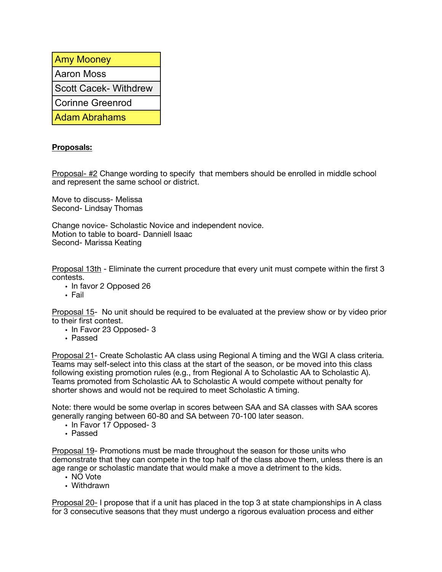| <b>Amy Mooney</b>           |
|-----------------------------|
| Aaron Moss                  |
| <b>Scott Cacek-Withdrew</b> |
| <b>Corinne Greenrod</b>     |
| <b>Adam Abrahams</b>        |

# **Proposals:**

Proposal- #2 Change wording to specify that members should be enrolled in middle school and represent the same school or district.

Move to discuss- Melissa Second- Lindsay Thomas

Change novice- Scholastic Novice and independent novice. Motion to table to board- Danniell Isaac Second- Marissa Keating

Proposal 13th - Eliminate the current procedure that every unit must compete within the first 3 contests.

- In favor 2 Opposed 26
- Fail

Proposal 15- No unit should be required to be evaluated at the preview show or by video prior to their first contest.

- In Favor 23 Opposed- 3
- Passed

Proposal 21- Create Scholastic AA class using Regional A timing and the WGI A class criteria. Teams may self-select into this class at the start of the season, or be moved into this class following existing promotion rules (e.g., from Regional A to Scholastic AA to Scholastic A). Teams promoted from Scholastic AA to Scholastic A would compete without penalty for shorter shows and would not be required to meet Scholastic A timing.

Note: there would be some overlap in scores between SAA and SA classes with SAA scores generally ranging between 60-80 and SA between 70-100 later season.

- In Favor 17 Opposed- 3
- Passed

Proposal 19- Promotions must be made throughout the season for those units who demonstrate that they can compete in the top half of the class above them, unless there is an age range or scholastic mandate that would make a move a detriment to the kids.

- NO Vote
- Withdrawn

Proposal 20- I propose that if a unit has placed in the top 3 at state championships in A class for 3 consecutive seasons that they must undergo a rigorous evaluation process and either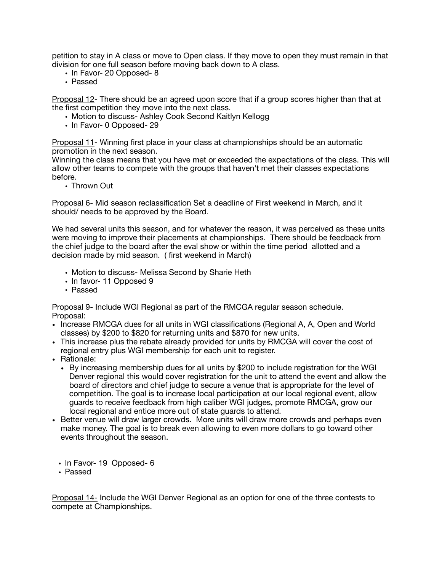petition to stay in A class or move to Open class. If they move to open they must remain in that division for one full season before moving back down to A class.

- In Favor- 20 Opposed- 8
- Passed

Proposal 12- There should be an agreed upon score that if a group scores higher than that at the first competition they move into the next class.

- Motion to discuss- Ashley Cook Second Kaitlyn Kellogg
- In Favor- 0 Opposed- 29

Proposal 11- Winning first place in your class at championships should be an automatic promotion in the next season.

Winning the class means that you have met or exceeded the expectations of the class. This will allow other teams to compete with the groups that haven't met their classes expectations before.

• Thrown Out

Proposal 6- Mid season reclassification Set a deadline of First weekend in March, and it should/ needs to be approved by the Board.

We had several units this season, and for whatever the reason, it was perceived as these units were moving to improve their placements at championships. There should be feedback from the chief judge to the board after the eval show or within the time period allotted and a decision made by mid season. ( first weekend in March)

- Motion to discuss- Melissa Second by Sharie Heth
- In favor- 11 Opposed 9
- Passed

Proposal 9- Include WGI Regional as part of the RMCGA regular season schedule. Proposal:

- Increase RMCGA dues for all units in WGI classifications (Regional A, A, Open and World classes) by \$200 to \$820 for returning units and \$870 for new units.
- This increase plus the rebate already provided for units by RMCGA will cover the cost of regional entry plus WGI membership for each unit to register.
- Rationale:
	- By increasing membership dues for all units by \$200 to include registration for the WGI Denver regional this would cover registration for the unit to attend the event and allow the board of directors and chief judge to secure a venue that is appropriate for the level of competition. The goal is to increase local participation at our local regional event, allow guards to receive feedback from high caliber WGI judges, promote RMCGA, grow our local regional and entice more out of state guards to attend.
- Better venue will draw larger crowds. More units will draw more crowds and perhaps even make money. The goal is to break even allowing to even more dollars to go toward other events throughout the season.
	- In Favor- 19 Opposed- 6
	- Passed

Proposal 14- Include the WGI Denver Regional as an option for one of the three contests to compete at Championships.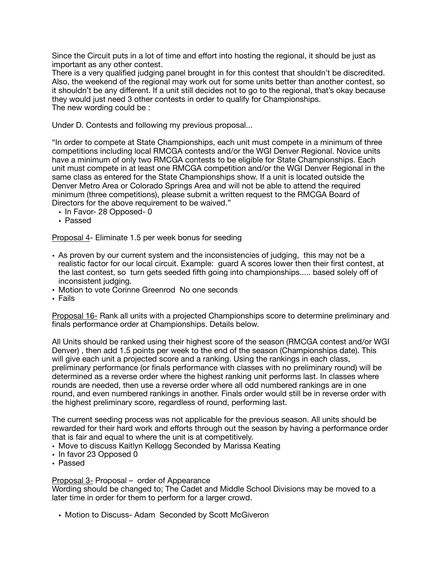Since the Circuit puts in a lot of time and effort into hosting the regional, it should be just as important as any other contest.

There is a very qualified judging panel brought in for this contest that shouldn't be discredited. Also, the weekend of the regional may work out for some units better than another contest, so it shouldn't be any different. If a unit still decides not to go to the regional, that's okay because they would just need 3 other contests in order to qualify for Championships. The new wording could be :

Under D. Contests and following my previous proposal...

"In order to compete at State Championships, each unit must compete in a minimum of three competitions including local RMCGA contests and/or the WGI Denver Regional. Novice units have a minimum of only two RMCGA contests to be eligible for State Championships. Each unit must compete in at least one RMCGA competition and/or the WGI Denver Regional in the same class as entered for the State Championships show. If a unit is located outside the Denver Metro Area or Colorado Springs Area and will not be able to attend the required minimum (three competitions), please submit a written request to the RMCGA Board of Directors for the above requirement to be waived."

- In Favor- 28 Opposed- 0
- Passed

Proposal 4- Eliminate 1.5 per week bonus for seeding

- As proven by our current system and the inconsistencies of judging, this may not be a realistic factor for our local circuit. Example: guard A scores lower then their first contest, at the last contest, so turn gets seeded fifth going into championships..... based solely off of inconsistent judging.
- Motion to vote Corinne Greenrod No one seconds
- Fails

Proposal 16- Rank all units with a projected Championships score to determine preliminary and finals performance order at Championships. Details below.

All Units should be ranked using their highest score of the season (RMCGA contest and/or WGI Denver) , then add 1.5 points per week to the end of the season (Championships date). This will give each unit a projected score and a ranking. Using the rankings in each class, preliminary performance (or finals performance with classes with no preliminary round) will be determined as a reverse order where the highest ranking unit performs last. In classes where rounds are needed, then use a reverse order where all odd numbered rankings are in one round, and even numbered rankings in another. Finals order would still be in reverse order with the highest preliminary score, regardless of round, performing last.

The current seeding process was not applicable for the previous season. All units should be rewarded for their hard work and efforts through out the season by having a performance order that is fair and equal to where the unit is at competitively.

- Move to discuss Kaitlyn Kellogg Seconded by Marissa Keating
- In favor 23 Opposed 0
- Passed

Proposal 3- Proposal – order of Appearance

Wording should be changed to; The Cadet and Middle School Divisions may be moved to a later time in order for them to perform for a larger crowd.

• Motion to Discuss- Adam Seconded by Scott McGiveron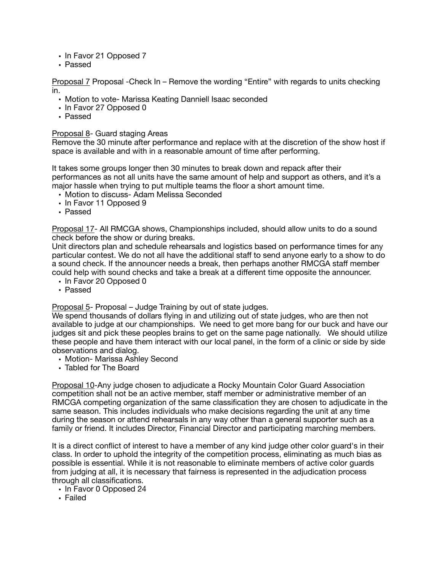- In Favor 21 Opposed 7
- Passed

Proposal 7 Proposal -Check In – Remove the wording "Entire" with regards to units checking in.

- Motion to vote- Marissa Keating Danniell Isaac seconded
- In Favor 27 Opposed 0
- Passed

#### Proposal 8- Guard staging Areas

Remove the 30 minute after performance and replace with at the discretion of the show host if space is available and with in a reasonable amount of time after performing.

It takes some groups longer then 30 minutes to break down and repack after their performances as not all units have the same amount of help and support as others, and it's a major hassle when trying to put multiple teams the floor a short amount time.

- Motion to discuss- Adam Melissa Seconded
- In Favor 11 Opposed 9
- Passed

Proposal 17- All RMCGA shows, Championships included, should allow units to do a sound check before the show or during breaks.

Unit directors plan and schedule rehearsals and logistics based on performance times for any particular contest. We do not all have the additional staff to send anyone early to a show to do a sound check. If the announcer needs a break, then perhaps another RMCGA staff member could help with sound checks and take a break at a different time opposite the announcer.

- In Favor 20 Opposed 0
- Passed

Proposal 5- Proposal – Judge Training by out of state judges.

We spend thousands of dollars flying in and utilizing out of state judges, who are then not available to judge at our championships. We need to get more bang for our buck and have our judges sit and pick these peoples brains to get on the same page nationally. We should utilize these people and have them interact with our local panel, in the form of a clinic or side by side observations and dialog.

- Motion- Marissa Ashley Second
- Tabled for The Board

Proposal 10-Any judge chosen to adjudicate a Rocky Mountain Color Guard Association competition shall not be an active member, staff member or administrative member of an RMCGA competing organization of the same classification they are chosen to adjudicate in the same season. This includes individuals who make decisions regarding the unit at any time during the season or attend rehearsals in any way other than a general supporter such as a family or friend. It includes Director, Financial Director and participating marching members.

It is a direct conflict of interest to have a member of any kind judge other color guard's in their class. In order to uphold the integrity of the competition process, eliminating as much bias as possible is essential. While it is not reasonable to eliminate members of active color guards from judging at all, it is necessary that fairness is represented in the adjudication process through all classifications.

- In Favor 0 Opposed 24
- Failed